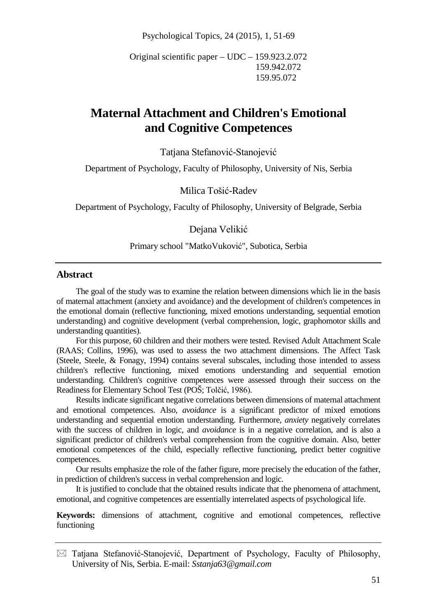Psychological Topics, 24 (2015), 1, 51-69

Original scientific paper – UDC – 159.923.2.072 159.942.072 159.95.072

# **Maternal Attachment and Children's Emotional and Cognitive Competences**

Tatjana Stefanović-Stanojević

Department of Psychology, Faculty of Philosophy, University of Nis, Serbia

Milica Tošić-Radev

Department of Psychology, Faculty of Philosophy, University of Belgrade, Serbia

Dejana Velikić

Primary school "MatkoVuković", Subotica, Serbia

#### **Abstract**

The goal of the study was to examine the relation between dimensions which lie in the basis of maternal attachment (anxiety and avoidance) and the development of children's competences in the emotional domain (reflective functioning, mixed emotions understanding, sequential emotion understanding) and cognitive development (verbal comprehension, logic, graphomotor skills and understanding quantities).

For this purpose, 60 children and their mothers were tested. Revised Adult Attachment Scale (RAAS; Collins, 1996), was used to assess the two attachment dimensions. The Affect Task (Steele, Steele, & Fonagy, 1994) contains several subscales, including those intended to assess children's reflective functioning, mixed emotions understanding and sequential emotion understanding. Children's cognitive competences were assessed through their success on the Readiness for Elementary School Test (POŠ; Tolčić, 1986).

Results indicate significant negative correlations between dimensions of maternal attachment and emotional competences. Also, *avoidance* is a significant predictor of mixed emotions understanding and sequential emotion understanding. Furthermore, *anxiety* negatively correlates with the success of children in logic, and *avoidance* is in a negative correlation, and is also a significant predictor of children's verbal comprehension from the cognitive domain. Also, better emotional competences of the child, especially reflective functioning, predict better cognitive competences.

Our results emphasize the role of the father figure, more precisely the education of the father, in prediction of children's success in verbal comprehension and logic.

It is justified to conclude that the obtained results indicate that the phenomena of attachment, emotional, and cognitive competences are essentially interrelated aspects of psychological life.

**Keywords:** dimensions of attachment, cognitive and emotional competences, reflective functioning

 $\boxtimes$  Tatjana Stefanović-Stanojević, Department of Psychology, Faculty of Philosophy, University of Nis, Serbia. E-mail: *Sstanja63@gmail.com*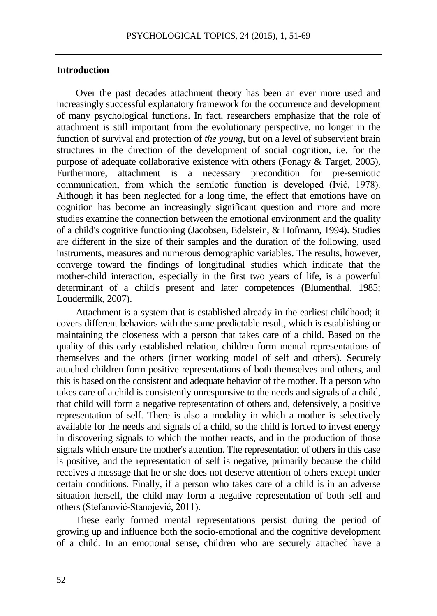## **Introduction**

Over the past decades attachment theory has been an ever more used and increasingly successful explanatory framework for the occurrence and development of many psychological functions. In fact, researchers emphasize that the role of attachment is still important from the evolutionary perspective, no longer in the function of survival and protection of *the young*, but on a level of subservient brain structures in the direction of the development of social cognition, i.e. for the purpose of adequate collaborative existence with others (Fonagy & Target, 2005), Furthermore, attachment is a necessary precondition for pre-semiotic communication, from which the semiotic function is developed (Ivić, 1978). Although it has been neglected for a long time, the effect that emotions have on cognition has become an increasingly significant question and more and more studies examine the connection between the emotional environment and the quality of a child's cognitive functioning (Jacobsen, Edelstein, & Hofmann, 1994). Studies are different in the size of their samples and the duration of the following, used instruments, measures and numerous demographic variables. The results, however, converge toward the findings of longitudinal studies which indicate that the mother-child interaction, especially in the first two years of life, is a powerful determinant of a child's present and later competences (Blumenthal, 1985; Loudermilk, 2007).

Attachment is a system that is established already in the earliest childhood; it covers different behaviors with the same predictable result, which is establishing or maintaining the closeness with a person that takes care of a child. Based on the quality of this early established relation, children form mental representations of themselves and the others (inner working model of self and others). Securely attached children form positive representations of both themselves and others, and this is based on the consistent and adequate behavior of the mother. If a person who takes care of a child is consistently unresponsive to the needs and signals of a child, that child will form a negative representation of others and, defensively, a positive representation of self. There is also a modality in which a mother is selectively available for the needs and signals of a child, so the child is forced to invest energy in discovering signals to which the mother reacts, and in the production of those signals which ensure the mother's attention. The representation of others in this case is positive, and the representation of self is negative, primarily because the child receives a message that he or she does not deserve attention of others except under certain conditions. Finally, if a person who takes care of a child is in an adverse situation herself, the child may form a negative representation of both self and others (Stefanović-Stanojević, 2011).

These early formed mental representations persist during the period of growing up and influence both the socio-emotional and the cognitive development of a child. In an emotional sense, children who are securely attached have a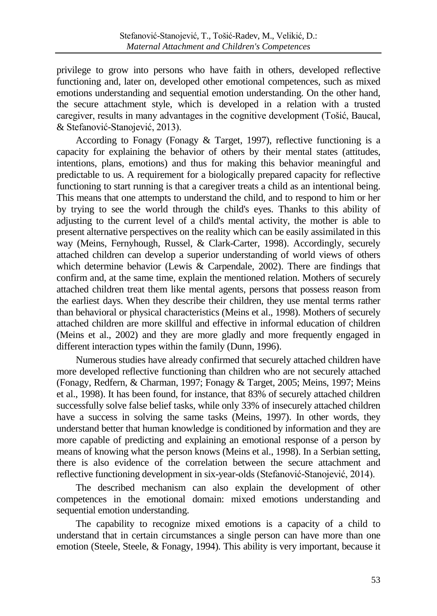privilege to grow into persons who have faith in others, developed reflective functioning and, later on, developed other emotional competences, such as mixed emotions understanding and sequential emotion understanding. On the other hand, the secure attachment style, which is developed in a relation with a trusted caregiver, results in many advantages in the cognitive development (Tošić, Baucal, & Stefanović-Stanojević, 2013).

According to Fonagy (Fonagy & Target, 1997), reflective functioning is a capacity for explaining the behavior of others by their mental states (attitudes, intentions, plans, emotions) and thus for making this behavior meaningful and predictable to us. A requirement for a biologically prepared capacity for reflective functioning to start running is that a caregiver treats a child as an intentional being. This means that one attempts to understand the child, and to respond to him or her by trying to see the world through the child's eyes. Thanks to this ability of adjusting to the current level of a child's mental activity, the mother is able to present alternative perspectives on the reality which can be easily assimilated in this way (Meins, Fernyhough, Russel, & Clark-Carter, 1998). Accordingly, securely attached children can develop a superior understanding of world views of others which determine behavior (Lewis & Carpendale, 2002). There are findings that confirm and, at the same time, explain the mentioned relation. Mothers of securely attached children treat them like mental agents, persons that possess reason from the earliest days. When they describe their children, they use mental terms rather than behavioral or physical characteristics (Meins et al., 1998). Mothers of securely attached children are more skillful and effective in informal education of children (Meins et al., 2002) and they are more gladly and more frequently engaged in different interaction types within the family (Dunn, 1996).

Numerous studies have already confirmed that securely attached children have more developed reflective functioning than children who are not securely attached (Fonagy, Redfern, & Charman, 1997; Fonagy & Target, 2005; Meins, 1997; Meins et al., 1998). It has been found, for instance, that 83% of securely attached children successfully solve false belief tasks, while only 33% of insecurely attached children have a success in solving the same tasks (Meins, 1997). In other words, they understand better that human knowledge is conditioned by information and they are more capable of predicting and explaining an emotional response of a person by means of knowing what the person knows (Meins et al., 1998). In a Serbian setting, there is also evidence of the correlation between the secure attachment and reflective functioning development in six-year-olds (Stefanović-Stanojević, 2014).

The described mechanism can also explain the development of other competences in the emotional domain: mixed emotions understanding and sequential emotion understanding.

The capability to recognize mixed emotions is a capacity of a child to understand that in certain circumstances a single person can have more than one emotion (Steele, Steele, & Fonagy, 1994). This ability is very important, because it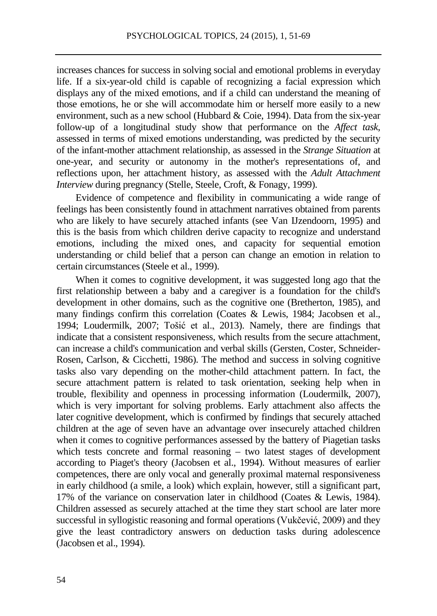increases chances for success in solving social and emotional problems in everyday life. If a six-year-old child is capable of recognizing a facial expression which displays any of the mixed emotions, and if a child can understand the meaning of those emotions, he or she will accommodate him or herself more easily to a new environment, such as a new school (Hubbard & Coie, 1994). Data from the six-year follow-up of a longitudinal study show that performance on the *Affect task*, assessed in terms of mixed emotions understanding, was predicted by the security of the infant-mother attachment relationship, as assessed in the *Strange Situation* at one-year, and security or autonomy in the mother's representations of, and reflections upon, her attachment history, as assessed with the *Adult Attachment Interview* during pregnancy (Stelle, Steele, Croft, & Fonagy, 1999).

Evidence of competence and flexibility in communicating a wide range of feelings has been consistently found in attachment narratives obtained from parents who are likely to have securely attached infants (see Van IJzendoorn, 1995) and this is the basis from which children derive capacity to recognize and understand emotions, including the mixed ones, and capacity for sequential emotion understanding or child belief that a person can change an emotion in relation to certain circumstances (Steele et al., 1999).

When it comes to cognitive development, it was suggested long ago that the first relationship between a baby and a caregiver is a foundation for the child's development in other domains, such as the cognitive one (Bretherton, 1985), and many findings confirm this correlation (Coates & Lewis, 1984; Jacobsen et al., 1994; Loudermilk, 2007; Tošić et al., 2013). Namely, there are findings that indicate that a consistent responsiveness, which results from the secure attachment, can increase a child's communication and verbal skills (Gersten, Coster, Schneider-Rosen, Carlson, & Cicchetti, 1986). The method and success in solving cognitive tasks also vary depending on the mother-child attachment pattern. In fact, the secure attachment pattern is related to task orientation, seeking help when in trouble, flexibility and openness in processing information (Loudermilk, 2007), which is very important for solving problems. Early attachment also affects the later cognitive development, which is confirmed by findings that securely attached children at the age of seven have an advantage over insecurely attached children when it comes to cognitive performances assessed by the battery of Piagetian tasks which tests concrete and formal reasoning – two latest stages of development according to Piaget's theory (Jacobsen et al., 1994). Without measures of earlier competences, there are only vocal and generally proximal maternal responsiveness in early childhood (a smile, a look) which explain, however, still a significant part, 17% of the variance on conservation later in childhood (Coates & Lewis, 1984). Children assessed as securely attached at the time they start school are later more successful in syllogistic reasoning and formal operations (Vukčević, 2009) and they give the least contradictory answers on deduction tasks during adolescence (Jacobsen et al., 1994).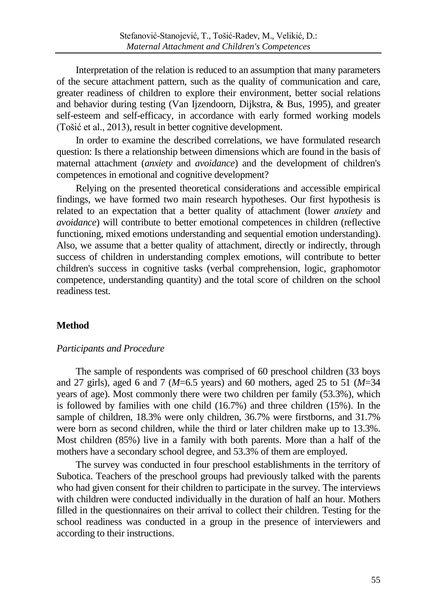Interpretation of the relation is reduced to an assumption that many parameters of the secure attachment pattern, such as the quality of communication and care, greater readiness of children to explore their environment, better social relations and behavior during testing (Van Ijzendoorn, Dijkstra, & Bus, 1995), and greater self-esteem and self-efficacy, in accordance with early formed working models (Tošić et al., 2013), result in better cognitive development.

In order to examine the described correlations, we have formulated research question: Is there a relationship between dimensions which are found in the basis of maternal attachment (*anxiety* and *avoidance*) and the development of children's competences in emotional and cognitive development?

Relying on the presented theoretical considerations and accessible empirical findings, we have formed two main research hypotheses. Our first hypothesis is related to an expectation that a better quality of attachment (lower *anxiety* and *avoidance*) will contribute to better emotional competences in children (reflective functioning, mixed emotions understanding and sequential emotion understanding). Also, we assume that a better quality of attachment, directly or indirectly, through success of children in understanding complex emotions, will contribute to better children's success in cognitive tasks (verbal comprehension, logic, graphomotor competence, understanding quantity) and the total score of children on the school readiness test.

## **Method**

## *Participants and Procedure*

The sample of respondents was comprised of 60 preschool children (33 boys and 27 girls), aged 6 and 7 (*M*=6.5 years) and 60 mothers, aged 25 to 51 (*M*=34 years of age). Most commonly there were two children per family (53.3%), which is followed by families with one child (16.7%) and three children (15%). In the sample of children, 18.3% were only children, 36.7% were firstborns, and 31.7% were born as second children, while the third or later children make up to 13.3%. Most children (85%) live in a family with both parents. More than a half of the mothers have a secondary school degree, and 53.3% of them are employed.

The survey was conducted in four preschool establishments in the territory of Subotica. Teachers of the preschool groups had previously talked with the parents who had given consent for their children to participate in the survey. The interviews with children were conducted individually in the duration of half an hour. Mothers filled in the questionnaires on their arrival to collect their children. Testing for the school readiness was conducted in a group in the presence of interviewers and according to their instructions.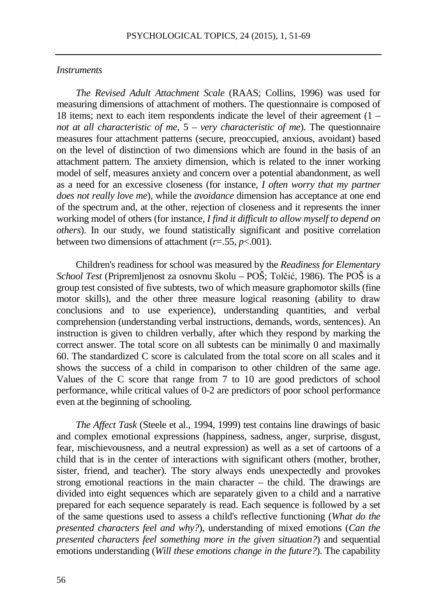#### *Instruments*

*The Revised Adult Attachment Scale* (RAAS; Collins, 1996) was used for measuring dimensions of attachment of mothers. The questionnaire is composed of 18 items; next to each item respondents indicate the level of their agreement (1 – *not at all characteristic of me*, 5 – *very characteristic of me*). The questionnaire measures four attachment patterns (secure, preoccupied, anxious, avoidant) based on the level of distinction of two dimensions which are found in the basis of an attachment pattern. The anxiety dimension, which is related to the inner working model of self, measures anxiety and concern over a potential abandonment, as well as a need for an excessive closeness (for instance, *I often worry that my partner does not really love me*), while the *avoidance* dimension has acceptance at one end of the spectrum and, at the other, rejection of closeness and it represents the inner working model of others (for instance, *I find it difficult to allow myself to depend on others*). In our study, we found statistically significant and positive correlation between two dimensions of attachment (*r*=.55, *p*<.001).

Children's readiness for school was measured by the *Readiness for Elementary School Test* (Pripremljenost za osnovnu školu – POŠ; Tolčić, 1986). The POŠ is a group test consisted of five subtests, two of which measure graphomotor skills (fine motor skills), and the other three measure logical reasoning (ability to draw conclusions and to use experience), understanding quantities, and verbal comprehension (understanding verbal instructions, demands, words, sentences). An instruction is given to children verbally, after which they respond by marking the correct answer. The total score on all subtests can be minimally 0 and maximally 60. The standardized C score is calculated from the total score on all scales and it shows the success of a child in comparison to other children of the same age. Values of the C score that range from 7 to 10 are good predictors of school performance, while critical values of 0-2 are predictors of poor school performance even at the beginning of schooling.

*The Affect Task* (Steele et al., 1994, 1999) test contains line drawings of basic and complex emotional expressions (happiness, sadness, anger, surprise, disgust, fear, mischievousness, and a neutral expression) as well as a set of cartoons of a child that is in the center of interactions with significant others (mother, brother, sister, friend, and teacher). The story always ends unexpectedly and provokes strong emotional reactions in the main character – the child. The drawings are divided into eight sequences which are separately given to a child and a narrative prepared for each sequence separately is read. Each sequence is followed by a set of the same questions used to assess a child's reflective functioning (*What do the presented characters feel and why?*), understanding of mixed emotions (*Can the presented characters feel something more in the given situation?*) and sequential emotions understanding (*Will these emotions change in the future?*). The capability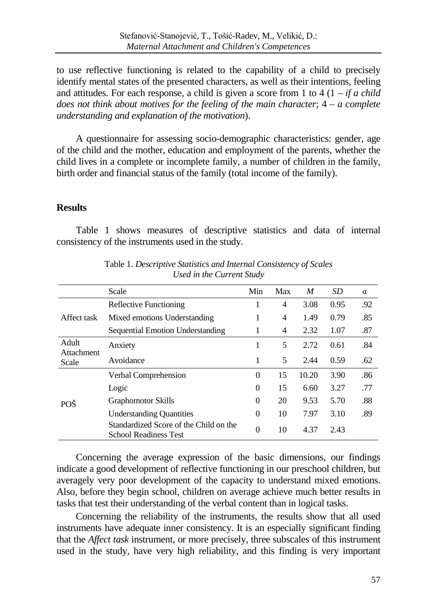to use reflective functioning is related to the capability of a child to precisely identify mental states of the presented characters, as well as their intentions, feeling and attitudes. For each response, a child is given a score from 1 to  $4(1 - if a child)$ *does not think about motives for the feeling of the main character*; 4 – *a complete understanding and explanation of the motivation*).

A questionnaire for assessing socio-demographic characteristics: gender, age of the child and the mother, education and employment of the parents, whether the child lives in a complete or incomplete family, a number of children in the family, birth order and financial status of the family (total income of the family).

### **Results**

Table 1 shows measures of descriptive statistics and data of internal consistency of the instruments used in the study.

|                              | Scale                                                                  | Min      | Max            | M     | <b>SD</b> | $\alpha$ |
|------------------------------|------------------------------------------------------------------------|----------|----------------|-------|-----------|----------|
| Affect task                  | Reflective Functioning                                                 | 1        | $\overline{4}$ | 3.08  | 0.95      | .92      |
|                              | Mixed emotions Understanding                                           | 1        | 4              | 1.49  | 0.79      | .85      |
|                              | Sequential Emotion Understanding                                       |          | 4              | 2.32  | 1.07      | .87      |
| Adult<br>Attachment<br>Scale | Anxiety                                                                | 1        | 5              | 2.72  | 0.61      | .84      |
|                              | Avoidance                                                              | 1        | 5              | 2.44  | 0.59      | .62      |
| <b>POS</b>                   | Verbal Comprehension                                                   | $\theta$ | 15             | 10.20 | 3.90      | .86      |
|                              | Logic                                                                  | $\theta$ | 15             | 6.60  | 3.27      | .77      |
|                              | <b>Graphomotor Skills</b>                                              | $\theta$ | 20             | 9.53  | 5.70      | .88      |
|                              | <b>Understanding Quantities</b>                                        | $\theta$ | 10             | 7.97  | 3.10      | .89      |
|                              | Standardized Score of the Child on the<br><b>School Readiness Test</b> | $\theta$ | 10             | 4.37  | 2.43      |          |

Table 1. *Descriptive Statistics and Internal Consistency of Scales Used in the Current Study*

Concerning the average expression of the basic dimensions, our findings indicate a good development of reflective functioning in our preschool children, but averagely very poor development of the capacity to understand mixed emotions. Also, before they begin school, children on average achieve much better results in tasks that test their understanding of the verbal content than in logical tasks.

Concerning the reliability of the instruments, the results show that all used instruments have adequate inner consistency. It is an especially significant finding that the *Affect task* instrument, or more precisely, three subscales of this instrument used in the study, have very high reliability, and this finding is very important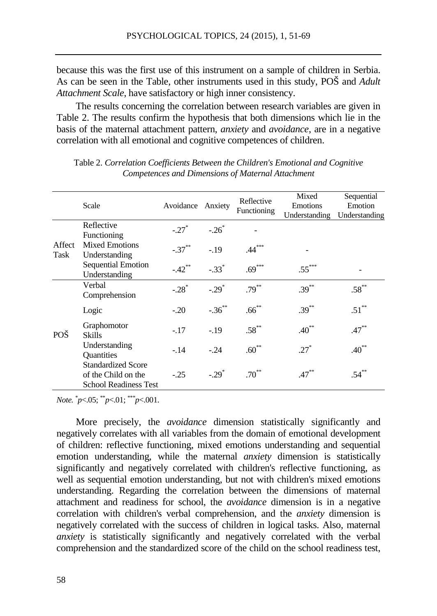because this was the first use of this instrument on a sample of children in Serbia. As can be seen in the Table, other instruments used in this study, POŠ and *Adult Attachment Scale*, have satisfactory or high inner consistency.

The results concerning the correlation between research variables are given in Table 2. The results confirm the hypothesis that both dimensions which lie in the basis of the maternal attachment pattern, *anxiety* and *avoidance*, are in a negative correlation with all emotional and cognitive competences of children.

|                | Scale                                                                            | Avoidance Anxiety   |                     | Reflective<br>Functioning | Mixed<br>Emotions<br>Understanding | Sequential<br>Emotion<br>Understanding |
|----------------|----------------------------------------------------------------------------------|---------------------|---------------------|---------------------------|------------------------------------|----------------------------------------|
| Affect<br>Task | Reflective<br>Functioning                                                        | $-.27$ <sup>*</sup> | $-.26$ <sup>*</sup> |                           |                                    |                                        |
|                | <b>Mixed Emotions</b><br>Understanding                                           | $-.37***$           | $-19$               | $.44***$                  |                                    |                                        |
|                | <b>Sequential Emotion</b><br>Understanding                                       | $-.42***$           | $-.33$ <sup>*</sup> | $.69***$                  | $.55***$                           |                                        |
| POŠ            | Verbal<br>Comprehension                                                          | $-.28$ <sup>*</sup> | $-.29*$             | $.79***$                  | $.39***$                           | $.58***$                               |
|                | Logic                                                                            | $-.20$              | $-.36***$           | $.66***$                  | $.39***$                           | $.51***$                               |
|                | Graphomotor<br>Skills                                                            | $-.17$              | $-19$               | $.58***$                  | $.40^{**}$                         | $.47***$                               |
|                | Understanding<br><b>Quantities</b>                                               | $-.14$              | $-.24$              | $.60^{**}$                | $.27*$                             | $.40^{**}$                             |
|                | <b>Standardized Score</b><br>of the Child on the<br><b>School Readiness Test</b> | $-25$               | $-.29$ <sup>*</sup> | $.70^{**}$                | $.47***$                           | $.54***$                               |

Table 2. *Correlation Coefficients Between the Children's Emotional and Cognitive Competences and Dimensions of Maternal Attachment*

*Note.* \* *p*<.05; \*\**p*<.01; \*\*\**p*<.001.

More precisely, the *avoidance* dimension statistically significantly and negatively correlates with all variables from the domain of emotional development of children: reflective functioning, mixed emotions understanding and sequential emotion understanding, while the maternal *anxiety* dimension is statistically significantly and negatively correlated with children's reflective functioning, as well as sequential emotion understanding, but not with children's mixed emotions understanding. Regarding the correlation between the dimensions of maternal attachment and readiness for school, the *avoidance* dimension is in a negative correlation with children's verbal comprehension, and the *anxiety* dimension is negatively correlated with the success of children in logical tasks. Also, maternal *anxiety* is statistically significantly and negatively correlated with the verbal comprehension and the standardized score of the child on the school readiness test,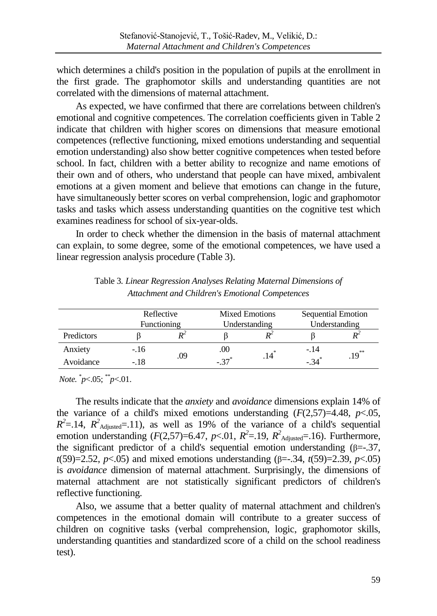which determines a child's position in the population of pupils at the enrollment in the first grade. The graphomotor skills and understanding quantities are not correlated with the dimensions of maternal attachment.

As expected, we have confirmed that there are correlations between children's emotional and cognitive competences. The correlation coefficients given in Table 2 indicate that children with higher scores on dimensions that measure emotional competences (reflective functioning, mixed emotions understanding and sequential emotion understanding) also show better cognitive competences when tested before school. In fact, children with a better ability to recognize and name emotions of their own and of others, who understand that people can have mixed, ambivalent emotions at a given moment and believe that emotions can change in the future, have simultaneously better scores on verbal comprehension, logic and graphomotor tasks and tasks which assess understanding quantities on the cognitive test which examines readiness for school of six-year-olds.

In order to check whether the dimension in the basis of maternal attachment can explain, to some degree, some of the emotional competences, we have used a linear regression analysis procedure (Table 3).

|            | Reflective  |     | <b>Mixed Emotions</b> |                    | Sequential Emotion |          |  |
|------------|-------------|-----|-----------------------|--------------------|--------------------|----------|--|
|            | Functioning |     | Understanding         |                    | Understanding      |          |  |
| Predictors |             |     |                       |                    |                    |          |  |
| Anxiety    | $-.16$      |     | .00                   | $.14$ <sup>*</sup> | $-.14$             | $.19***$ |  |
| Avoidance  | $-.18$      | .09 | $-.37$ <sup>*</sup>   |                    | $-34$              |          |  |

Table 3*. Linear Regression Analyses Relating Maternal Dimensions of Attachment and Children's Emotional Competences*

*Note.* \* *p*<.05; \*\**p*<.01.

The results indicate that the *anxiety* and *avoidance* dimensions explain 14% of the variance of a child's mixed emotions understanding  $(F(2,57)=4.48, p<.05,$  $R^2 = 14$ ,  $R^2$ <sub>Adjusted</sub>= 11), as well as 19% of the variance of a child's sequential emotion understanding  $(F(2,57)=6.47, p<0.01, R^2=19, R^2_{\text{adjusted}}=16)$ . Furthermore, the significant predictor of a child's sequential emotion understanding  $(\beta = -37)$ , *t*(59)=2.52, *p*<.05) and mixed emotions understanding (β=-.34, *t*(59)=2.39, *p*<.05) is *avoidance* dimension of maternal attachment. Surprisingly, the dimensions of maternal attachment are not statistically significant predictors of children's reflective functioning.

Also, we assume that a better quality of maternal attachment and children's competences in the emotional domain will contribute to a greater success of children on cognitive tasks (verbal comprehension, logic, graphomotor skills, understanding quantities and standardized score of a child on the school readiness test).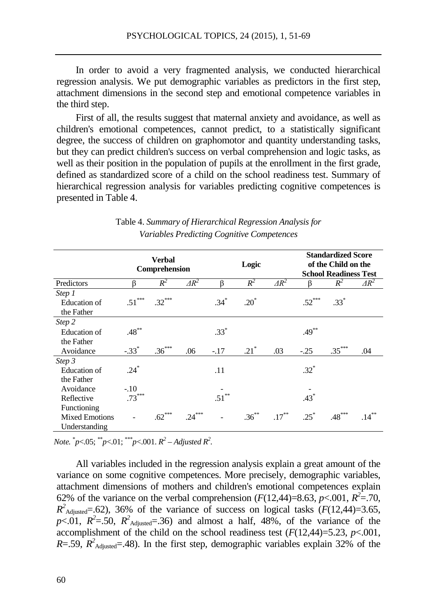In order to avoid a very fragmented analysis, we conducted hierarchical regression analysis. We put demographic variables as predictors in the first step, attachment dimensions in the second step and emotional competence variables in the third step.

First of all, the results suggest that maternal anxiety and avoidance, as well as children's emotional competences, cannot predict, to a statistically significant degree, the success of children on graphomotor and quantity understanding tasks, but they can predict children's success on verbal comprehension and logic tasks, as well as their position in the population of pupils at the enrollment in the first grade, defined as standardized score of a child on the school readiness test. Summary of hierarchical regression analysis for variables predicting cognitive competences is presented in Table 4.

|                       | Verbal<br>Comprehension |          |              | Logic    |          |              | <b>Standardized Score</b><br>of the Child on the<br><b>School Readiness Test</b> |          |              |
|-----------------------|-------------------------|----------|--------------|----------|----------|--------------|----------------------------------------------------------------------------------|----------|--------------|
| Predictors            | ß                       | $R^2$    | $\Delta R^2$ | ß        | $R^2$    | $\Delta R^2$ | R                                                                                | $R^2$    | $\Delta R^2$ |
| Step 1                |                         |          |              |          |          |              |                                                                                  |          |              |
| Education of          | $.51***$                | $.32***$ |              | $.34*$   | $.20*$   |              | $.52***$                                                                         | $.33*$   |              |
| the Father            |                         |          |              |          |          |              |                                                                                  |          |              |
| Step 2                |                         |          |              |          |          |              |                                                                                  |          |              |
| <b>Education</b> of   | $.48***$                |          |              | $.33*$   |          |              | $.49***$                                                                         |          |              |
| the Father            |                         |          |              |          |          |              |                                                                                  |          |              |
| Avoidance             | $-.33*$                 | $.36***$ | .06          | $-.17$   | $.21*$   | .03          | $-25$                                                                            | $.35***$ | .04          |
| Step 3                |                         |          |              |          |          |              |                                                                                  |          |              |
| Education of          | $.24*$                  |          |              | .11      |          |              | $.32*$                                                                           |          |              |
| the Father            |                         |          |              |          |          |              |                                                                                  |          |              |
| Avoidance             | $-.10$                  |          |              |          |          |              |                                                                                  |          |              |
| Reflective            | $.73***$                |          |              | $.51***$ |          |              | $.43*$                                                                           |          |              |
| Functioning           |                         |          |              |          |          |              |                                                                                  |          |              |
| <b>Mixed Emotions</b> |                         | $.62***$ | $.24***$     |          | $.36***$ | $.17***$     | $.25*$                                                                           | $.48***$ | $.14***$     |
| Understanding         |                         |          |              |          |          |              |                                                                                  |          |              |

| Table 4. Summary of Hierarchical Regression Analysis for |  |
|----------------------------------------------------------|--|
| Variables Predicting Cognitive Competences               |  |

*Note.* \* *p*<.05; \*\**p*<.01; \*\*\**p*<.001. *R2 – Adjusted R2 .*

All variables included in the regression analysis explain a great amount of the variance on some cognitive competences. More precisely, demographic variables, attachment dimensions of mothers and children's emotional competences explain 62% of the variance on the verbal comprehension  $(F(12, 44)=8.63, p<.001, R<sup>2</sup>=.70,$  $R^2$ <sub>Adjusted</sub>=.62), 36% of the variance of success on logical tasks (*F*(12,44)=3.65,  $p<.01$ ,  $R^2$ =.50,  $R^2$ <sub>Adjusted</sub>=.36) and almost a half, 48%, of the variance of the accomplishment of the child on the school readiness test  $(F(12,44)=5.23, p<.001,$  $R = .59$ ,  $R^2$ <sub>Adjusted</sub>=.48). In the first step, demographic variables explain 32% of the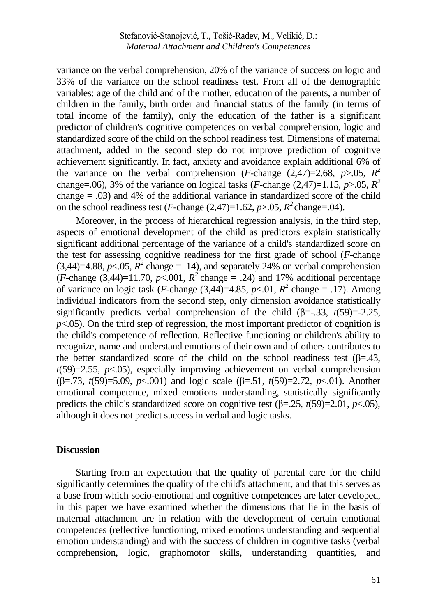variance on the verbal comprehension, 20% of the variance of success on logic and 33% of the variance on the school readiness test. From all of the demographic variables: age of the child and of the mother, education of the parents, a number of children in the family, birth order and financial status of the family (in terms of total income of the family), only the education of the father is a significant predictor of children's cognitive competences on verbal comprehension, logic and standardized score of the child on the school readiness test. Dimensions of maternal attachment, added in the second step do not improve prediction of cognitive achievement significantly. In fact, anxiety and avoidance explain additional 6% of the variance on the verbal comprehension (*F*-change (2,47)=2.68, *p*>.05,  $R^2$ change=.06), 3% of the variance on logical tasks (*F*-change (2,47)=1.15, *p*>.05,  $R^2$ change = .03) and 4% of the additional variance in standardized score of the child on the school readiness test (*F*-change  $(2,47)=1.62$ ,  $p>0.05$ ,  $R^2$  change=.04).

Moreover, in the process of hierarchical regression analysis, in the third step, aspects of emotional development of the child as predictors explain statistically significant additional percentage of the variance of a child's standardized score on the test for assessing cognitive readiness for the first grade of school (*F*-change  $(3,44)=4.88$ ,  $p<.05$ ,  $R^2$  change = .14), and separately 24% on verbal comprehension  $(F\text{-change } (3,44) = 11.70, p < 001, R^2 \text{ change } = .24)$  and 17% additional percentage of variance on logic task (*F*-change (3,44)=4.85,  $p<0.01$ ,  $R^2$  change = .17). Among individual indicators from the second step, only dimension avoidance statistically significantly predicts verbal comprehension of the child  $(\beta = -33, t(59) = -2.25,$  $p<.05$ ). On the third step of regression, the most important predictor of cognition is the child's competence of reflection. Reflective functioning or children's ability to recognize, name and understand emotions of their own and of others contributes to the better standardized score of the child on the school readiness test ( $\beta$ =.43,  $t(59)=2.55$ ,  $p<.05$ ), especially improving achievement on verbal comprehension (β=.73, *t*(59)=5.09, *p*<.001) and logic scale (β=.51, *t*(59)=2.72, *p*<.01). Another emotional competence, mixed emotions understanding, statistically significantly predicts the child's standardized score on cognitive test  $(\beta = .25, t(59)=2.01, p<.05)$ , although it does not predict success in verbal and logic tasks.

## **Discussion**

Starting from an expectation that the quality of parental care for the child significantly determines the quality of the child's attachment, and that this serves as a base from which socio-emotional and cognitive competences are later developed, in this paper we have examined whether the dimensions that lie in the basis of maternal attachment are in relation with the development of certain emotional competences (reflective functioning, mixed emotions understanding and sequential emotion understanding) and with the success of children in cognitive tasks (verbal comprehension, logic, graphomotor skills, understanding quantities, and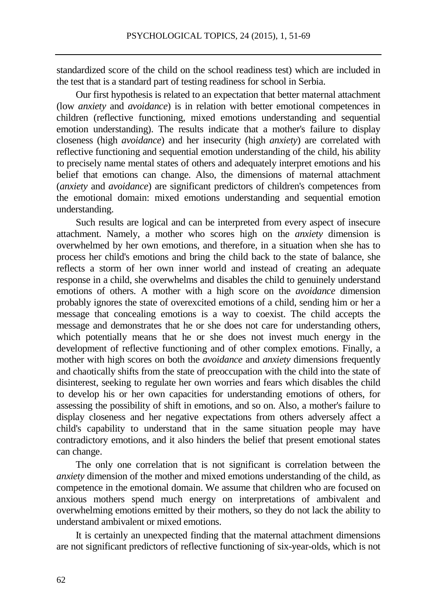standardized score of the child on the school readiness test) which are included in the test that is a standard part of testing readiness for school in Serbia.

Our first hypothesis is related to an expectation that better maternal attachment (low *anxiety* and *avoidance*) is in relation with better emotional competences in children (reflective functioning, mixed emotions understanding and sequential emotion understanding). The results indicate that a mother's failure to display closeness (high *avoidance*) and her insecurity (high *anxiety*) are correlated with reflective functioning and sequential emotion understanding of the child, his ability to precisely name mental states of others and adequately interpret emotions and his belief that emotions can change. Also, the dimensions of maternal attachment (*anxiety* and *avoidance*) are significant predictors of children's competences from the emotional domain: mixed emotions understanding and sequential emotion understanding.

Such results are logical and can be interpreted from every aspect of insecure attachment. Namely, a mother who scores high on the *anxiety* dimension is overwhelmed by her own emotions, and therefore, in a situation when she has to process her child's emotions and bring the child back to the state of balance, she reflects a storm of her own inner world and instead of creating an adequate response in a child, she overwhelms and disables the child to genuinely understand emotions of others. A mother with a high score on the *avoidance* dimension probably ignores the state of overexcited emotions of a child, sending him or her a message that concealing emotions is a way to coexist. The child accepts the message and demonstrates that he or she does not care for understanding others, which potentially means that he or she does not invest much energy in the development of reflective functioning and of other complex emotions. Finally, a mother with high scores on both the *avoidance* and *anxiety* dimensions frequently and chaotically shifts from the state of preoccupation with the child into the state of disinterest, seeking to regulate her own worries and fears which disables the child to develop his or her own capacities for understanding emotions of others, for assessing the possibility of shift in emotions, and so on. Also, a mother's failure to display closeness and her negative expectations from others adversely affect a child's capability to understand that in the same situation people may have contradictory emotions, and it also hinders the belief that present emotional states can change.

The only one correlation that is not significant is correlation between the *anxiety* dimension of the mother and mixed emotions understanding of the child, as competence in the emotional domain. We assume that children who are focused on anxious mothers spend much energy on interpretations of ambivalent and overwhelming emotions emitted by their mothers, so they do not lack the ability to understand ambivalent or mixed emotions.

It is certainly an unexpected finding that the maternal attachment dimensions are not significant predictors of reflective functioning of six-year-olds, which is not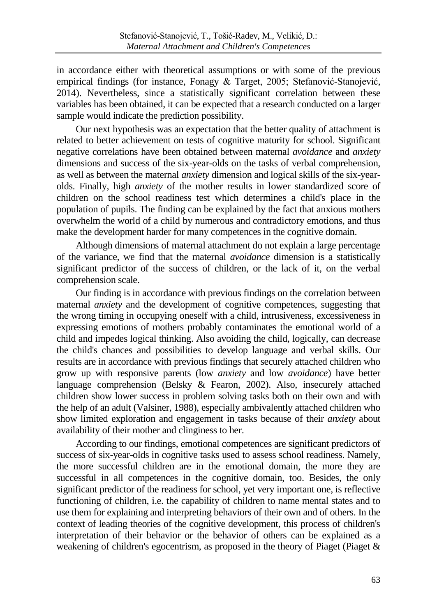in accordance either with theoretical assumptions or with some of the previous empirical findings (for instance, Fonagy & Target, 2005; Stefanović-Stanojević, 2014). Nevertheless, since a statistically significant correlation between these variables has been obtained, it can be expected that a research conducted on a larger sample would indicate the prediction possibility.

Our next hypothesis was an expectation that the better quality of attachment is related to better achievement on tests of cognitive maturity for school. Significant negative correlations have been obtained between maternal *avoidance* and *anxiety* dimensions and success of the six-year-olds on the tasks of verbal comprehension, as well as between the maternal *anxiety* dimension and logical skills of the six-yearolds. Finally, high *anxiety* of the mother results in lower standardized score of children on the school readiness test which determines a child's place in the population of pupils. The finding can be explained by the fact that anxious mothers overwhelm the world of a child by numerous and contradictory emotions, and thus make the development harder for many competences in the cognitive domain.

Although dimensions of maternal attachment do not explain a large percentage of the variance, we find that the maternal *avoidance* dimension is a statistically significant predictor of the success of children, or the lack of it, on the verbal comprehension scale.

Our finding is in accordance with previous findings on the correlation between maternal *anxiety* and the development of cognitive competences, suggesting that the wrong timing in occupying oneself with a child, intrusiveness, excessiveness in expressing emotions of mothers probably contaminates the emotional world of a child and impedes logical thinking. Also avoiding the child, logically, can decrease the child's chances and possibilities to develop language and verbal skills. Our results are in accordance with previous findings that securely attached children who grow up with responsive parents (low *anxiety* and low *avoidance*) have better language comprehension (Belsky & Fearon, 2002). Also, insecurely attached children show lower success in problem solving tasks both on their own and with the help of an adult (Valsiner, 1988), especially ambivalently attached children who show limited exploration and engagement in tasks because of their *anxiety* about availability of their mother and clinginess to her.

According to our findings, emotional competences are significant predictors of success of six-year-olds in cognitive tasks used to assess school readiness. Namely, the more successful children are in the emotional domain, the more they are successful in all competences in the cognitive domain, too. Besides, the only significant predictor of the readiness for school, yet very important one, is reflective functioning of children, i.e. the capability of children to name mental states and to use them for explaining and interpreting behaviors of their own and of others. In the context of leading theories of the cognitive development, this process of children's interpretation of their behavior or the behavior of others can be explained as a weakening of children's egocentrism, as proposed in the theory of Piaget (Piaget &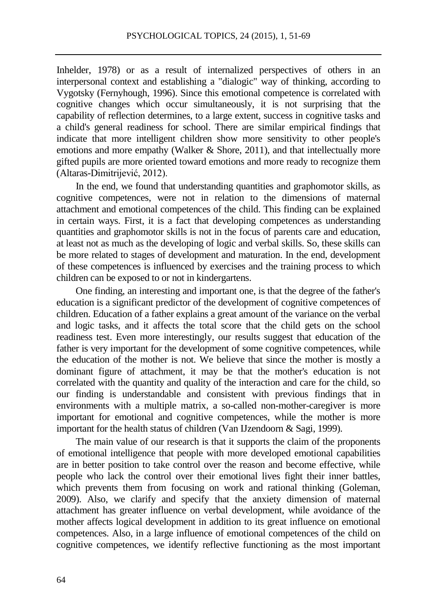Inhelder, 1978) or as a result of internalized perspectives of others in an interpersonal context and establishing a "dialogic" way of thinking, according to Vygotsky (Fernyhough, 1996). Since this emotional competence is correlated with cognitive changes which occur simultaneously, it is not surprising that the capability of reflection determines, to a large extent, success in cognitive tasks and a child's general readiness for school. There are similar empirical findings that indicate that more intelligent children show more sensitivity to other people's emotions and more empathy (Walker & Shore, 2011), and that intellectually more gifted pupils are more oriented toward emotions and more ready to recognize them (Altaras-Dimitrijević, 2012).

In the end, we found that understanding quantities and graphomotor skills, as cognitive competences, were not in relation to the dimensions of maternal attachment and emotional competences of the child. This finding can be explained in certain ways. First, it is a fact that developing competences as understanding quantities and graphomotor skills is not in the focus of parents care and education, at least not as much as the developing of logic and verbal skills. So, these skills can be more related to stages of development and maturation. In the end, development of these competences is influenced by exercises and the training process to which children can be exposed to or not in kindergartens.

One finding, an interesting and important one, is that the degree of the father's education is a significant predictor of the development of cognitive competences of children. Education of a father explains a great amount of the variance on the verbal and logic tasks, and it affects the total score that the child gets on the school readiness test. Even more interestingly, our results suggest that education of the father is very important for the development of some cognitive competences, while the education of the mother is not. We believe that since the mother is mostly a dominant figure of attachment, it may be that the mother's education is not correlated with the quantity and quality of the interaction and care for the child, so our finding is understandable and consistent with previous findings that in environments with a multiple matrix, a so-called non-mother-caregiver is more important for emotional and cognitive competences, while the mother is more important for the health status of children (Van IJzendoorn & Sagi, 1999).

The main value of our research is that it supports the claim of the proponents of emotional intelligence that people with more developed emotional capabilities are in better position to take control over the reason and become effective, while people who lack the control over their emotional lives fight their inner battles, which prevents them from focusing on work and rational thinking (Goleman, 2009). Also, we clarify and specify that the anxiety dimension of maternal attachment has greater influence on verbal development, while avoidance of the mother affects logical development in addition to its great influence on emotional competences. Also, in a large influence of emotional competences of the child on cognitive competences, we identify reflective functioning as the most important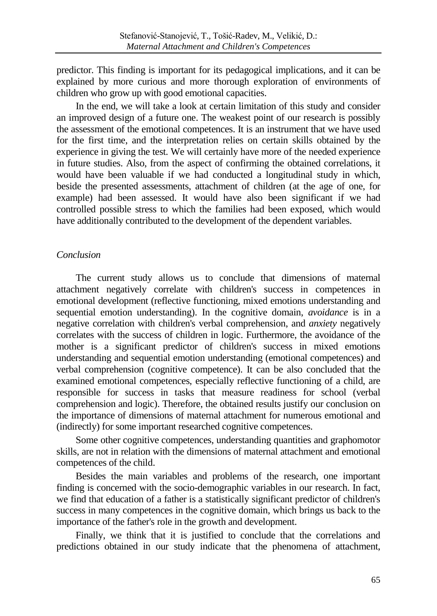predictor. This finding is important for its pedagogical implications, and it can be explained by more curious and more thorough exploration of environments of children who grow up with good emotional capacities.

In the end, we will take a look at certain limitation of this study and consider an improved design of a future one. The weakest point of our research is possibly the assessment of the emotional competences. It is an instrument that we have used for the first time, and the interpretation relies on certain skills obtained by the experience in giving the test. We will certainly have more of the needed experience in future studies. Also, from the aspect of confirming the obtained correlations, it would have been valuable if we had conducted a longitudinal study in which, beside the presented assessments, attachment of children (at the age of one, for example) had been assessed. It would have also been significant if we had controlled possible stress to which the families had been exposed, which would have additionally contributed to the development of the dependent variables.

## *Conclusion*

The current study allows us to conclude that dimensions of maternal attachment negatively correlate with children's success in competences in emotional development (reflective functioning, mixed emotions understanding and sequential emotion understanding). In the cognitive domain, *avoidance* is in a negative correlation with children's verbal comprehension, and *anxiety* negatively correlates with the success of children in logic. Furthermore, the avoidance of the mother is a significant predictor of children's success in mixed emotions understanding and sequential emotion understanding (emotional competences) and verbal comprehension (cognitive competence). It can be also concluded that the examined emotional competences, especially reflective functioning of a child, are responsible for success in tasks that measure readiness for school (verbal comprehension and logic). Therefore, the obtained results justify our conclusion on the importance of dimensions of maternal attachment for numerous emotional and (indirectly) for some important researched cognitive competences.

Some other cognitive competences, understanding quantities and graphomotor skills, are not in relation with the dimensions of maternal attachment and emotional competences of the child.

Besides the main variables and problems of the research, one important finding is concerned with the socio-demographic variables in our research. In fact, we find that education of a father is a statistically significant predictor of children's success in many competences in the cognitive domain, which brings us back to the importance of the father's role in the growth and development.

Finally, we think that it is justified to conclude that the correlations and predictions obtained in our study indicate that the phenomena of attachment,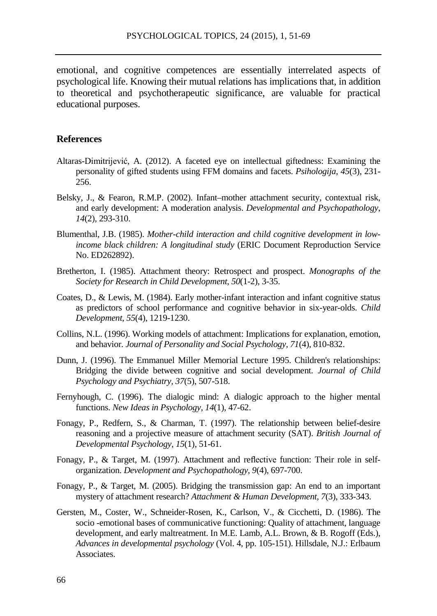emotional, and cognitive competences are essentially interrelated aspects of psychological life. Knowing their mutual relations has implications that, in addition to theoretical and psychotherapeutic significance, are valuable for practical educational purposes.

#### **References**

- Altaras-Dimitrijević, A. (2012). A faceted eye on intellectual giftedness: Examining the personality of gifted students using FFM domains and facets. *Psihologija, 45*(3), 231- 256.
- Belsky, J., & Fearon, R.M.P. (2002). Infant–mother attachment security, contextual risk, and early development: A moderation analysis. *Developmental and Psychopathology*, *14*(2), 293-310.
- Blumenthal, J.B. (1985). *Mother-child interaction and child cognitive development in lowincome black children: A longitudinal study* (ERIC Document Reproduction Service No. ED262892).
- Bretherton, I. (1985). Attachment theory: Retrospect and prospect. *Monographs of the Society for Research in Child Development*, *50*(1-2), 3-35.
- Coates, D., & Lewis, M. (1984). Early mother-infant interaction and infant cognitive status as predictors of school performance and cognitive behavior in six-year-olds. *Child Development, 55*(4), 1219-1230.
- Collins, N.L. (1996). Working models of attachment: Implications for explanation, emotion, and behavior. *Journal of Personality and Social Psychology, 71*(4), 810-832.
- Dunn, J. (1996). The Emmanuel Miller Memorial Lecture 1995. Children's relationships: Bridging the divide between cognitive and social development. *Journal of Child Psychology and Psychiatry, 37*(5), 507-518.
- Fernyhough, C. (1996). The dialogic mind: A dialogic approach to the higher mental functions. *New Ideas in Psychology, 14*(1), 47-62.
- Fonagy, P., Redfern, S., & Charman, T. (1997). The relationship between belief-desire reasoning and a projective measure of attachment security (SAT). *British Journal of Developmental Psychology, 15*(1), 51-61.
- Fonagy, P., & Target, M. (1997). Attachment and reflective function: Their role in selforganization. *Development and Psychopathology*, *9*(4), 697-700.
- Fonagy, P., & Target, M. (2005). Bridging the transmission gap: An end to an important mystery of attachment research? *Attachment & Human Development, 7*(3), 333-343.
- Gersten, M., Coster, W., Schneider-Rosen, K., Carlson, V., & Cicchetti, D. (1986). The socio -emotional bases of communicative functioning: Quality of attachment, language development, and early maltreatment. In M.E. Lamb, A.L. Brown, & B. Rogoff (Eds.), *Advances in developmental psychology* (Vol. 4, pp. 105-151). Hillsdale, N.J.: Erlbaum Associates.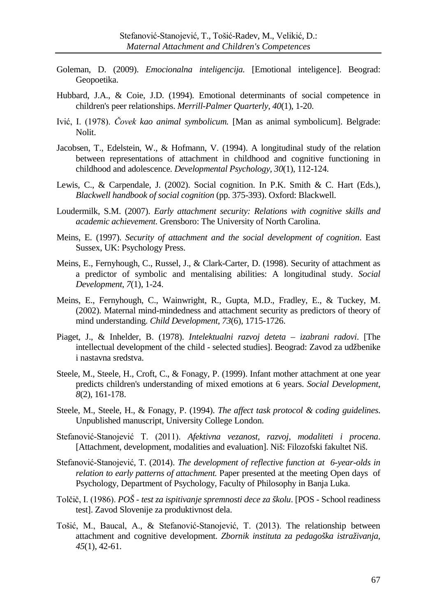- Goleman, D. (2009). *Emocionalna inteligencija.* [Emotional inteligence]. Beograd: Geopoetika.
- Hubbard, J.A., & Coie, J.D. (1994). Emotional determinants of social competence in children's peer relationships. *Merrill-Palmer Quarterly, 40*(1), 1-20.
- Ivić, I. (1978). *Čovek kao animal symbolicum.* [Man as animal symbolicum]. Belgrade: Nolit.
- Jacobsen, T., Edelstein, W., & Hofmann, V. (1994). A longitudinal study of the relation between representations of attachment in childhood and cognitive functioning in childhood and adolescence. *Developmental Psychology, 30*(1), 112-124.
- Lewis, C., & Carpendale, J. (2002). Social cognition. In P.K. Smith & C. Hart (Eds.), *Blackwell handbook of social cognition* (pp. 375-393). Oxford: Blackwell.
- Loudermilk, S.M. (2007). *Early attachment security: Relations with cognitive skills and academic achievement*. Grensboro: The University of North Carolina.
- Meins, E. (1997). *Security of attachment and the social development of cognition*. East Sussex, UK: Psychology Press.
- Meins, E., Fernyhough, C., Russel, J., & Clark-Carter, D. (1998). Security of attachment as a predictor of symbolic and mentalising abilities: A longitudinal study. *Social Development*, *7*(1), 1-24.
- Meins, E., Fernyhough, C., Wainwright, R., Gupta, M.D., Fradley, E., & Tuckey, M. (2002). Maternal mind-mindedness and attachment security as predictors of theory of mind understanding. *Child Development*, *73*(6), 1715-1726.
- Piaget, J., & Inhelder, B. (1978). *Intelektualni razvoj deteta – izabrani radovi*. [The intellectual development of the child - selected studies]. Beograd: Zavod za udžbenike i nastavna sredstva.
- Steele, M., Steele, H., Croft, C., & Fonagy, P. (1999). Infant mother attachment at one year predicts children's understanding of mixed emotions at 6 years. *Social Development*, *8*(2), 161-178.
- Steele, M., Steele, H., & Fonagy, P. (1994). *The affect task protocol & coding guidelines*. Unpublished manuscript, University College London.
- Stefanović-Stanojević T. (2011). *Afektivna vezanost, razvoj, modaliteti i procena*. [Attachment, development, modalities and evaluation]. Niš: Filozofski fakultet Niš.
- Stefanović-Stanojević, T. (2014). *The development of reflective function at 6-year-olds in relation to early patterns of attachment.* Paper presented at the meeting Open days of Psychology, Department of Psychology, Faculty of Philosophy in Banja Luka.
- Tolčič, I. (1986). *POŠ - test za ispitivanje spremnosti dece za školu*. [POS School readiness test]. Zavod Slovenije za produktivnost dela.
- Tošić, M., Baucal, A., & Stefanović-Stanojević, T. (2013). The relationship between attachment and cognitive development. *Zbornik instituta za pedagoška istraživanja, 45*(1), 42-61.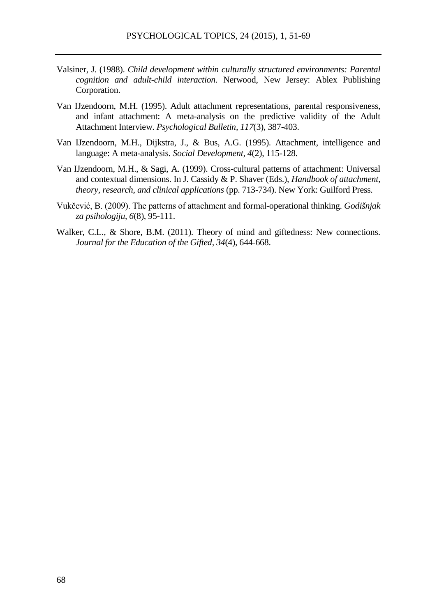- Valsiner, J. (1988). *Child development within culturally structured environments: Parental cognition and adult-child interaction*. Nerwood, New Jersey: Ablex Publishing Corporation.
- Van IJzendoorn, M.H. (1995). Adult attachment representations, parental responsiveness, and infant attachment: A meta-analysis on the predictive validity of the Adult Attachment Interview. *Psychological Bulletin, 117*(3), 387-403.
- Van IJzendoorn, M.H., Dijkstra, J., & Bus, A.G. (1995). Attachment, intelligence and language: A meta-analysis. *Social Development, 4*(2), 115-128.
- Van IJzendoorn, M.H., & Sagi, A. (1999). Cross-cultural patterns of attachment: Universal and contextual dimensions. In J. Cassidy & P. Shaver (Eds.), *Handbook of attachment, theory, research, and clinical applications* (pp. 713-734). New York: Guilford Press.
- Vukčević, B. (2009). The patterns of attachment and formal-operational thinking. *Godišnjak za psihologiju*, *6*(8), 95-111.
- Walker, C.L., & Shore, B.M. (2011). Theory of mind and giftedness: New connections. *Journal for the Education of the Gifted, 34*(4), 644-668.